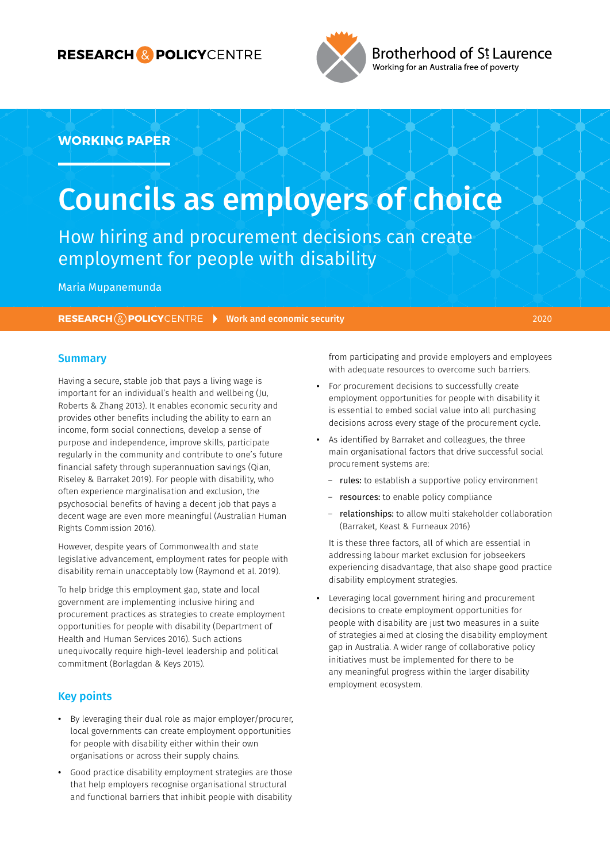# **RESEARCH & POLICY**CENTRE



Brotherhood of St Laurence Working for an Australia free of poverty

**WORKING PAPER**

# Councils as employers of choice

How hiring and procurement decisions can create employment for people with disability

Maria Mupanemunda

**RESEARCH (8) POLICY**CENTRE **Work and economic security 2020** 2020

# **Summary**

Having a secure, stable job that pays a living wage is important for an individual's health and wellbeing (Ju, Roberts & Zhang 2013). It enables economic security and provides other benefits including the ability to earn an income, form social connections, develop a sense of purpose and independence, improve skills, participate regularly in the community and contribute to one's future financial safety through superannuation savings (Qian, Riseley & Barraket 2019). For people with disability, who often experience marginalisation and exclusion, the psychosocial benefits of having a decent job that pays a decent wage are even more meaningful (Australian Human Rights Commission 2016).

However, despite years of Commonwealth and state legislative advancement, employment rates for people with disability remain unacceptably low (Raymond et al. 2019).

To help bridge this employment gap, state and local government are implementing inclusive hiring and procurement practices as strategies to create employment opportunities for people with disability (Department of Health and Human Services 2016). Such actions unequivocally require high-level leadership and political commitment (Borlagdan & Keys 2015).

# Key points

- **•** By leveraging their dual role as major employer/procurer, local governments can create employment opportunities for people with disability either within their own organisations or across their supply chains.
- **•** Good practice disability employment strategies are those that help employers recognise organisational structural and functional barriers that inhibit people with disability

from participating and provide employers and employees with adequate resources to overcome such barriers.

- **•** For procurement decisions to successfully create employment opportunities for people with disability it is essential to embed social value into all purchasing decisions across every stage of the procurement cycle.
- **•** As identified by Barraket and colleagues, the three main organisational factors that drive successful social procurement systems are:
	- rules: to establish a supportive policy environment
	- resources: to enable policy compliance
	- relationships: to allow multi stakeholder collaboration (Barraket, Keast & Furneaux 2016)

It is these three factors, all of which are essential in addressing labour market exclusion for jobseekers experiencing disadvantage, that also shape good practice disability employment strategies.

**•** Leveraging local government hiring and procurement decisions to create employment opportunities for people with disability are just two measures in a suite of strategies aimed at closing the disability employment gap in Australia. A wider range of collaborative policy initiatives must be implemented for there to be any meaningful progress within the larger disability employment ecosystem.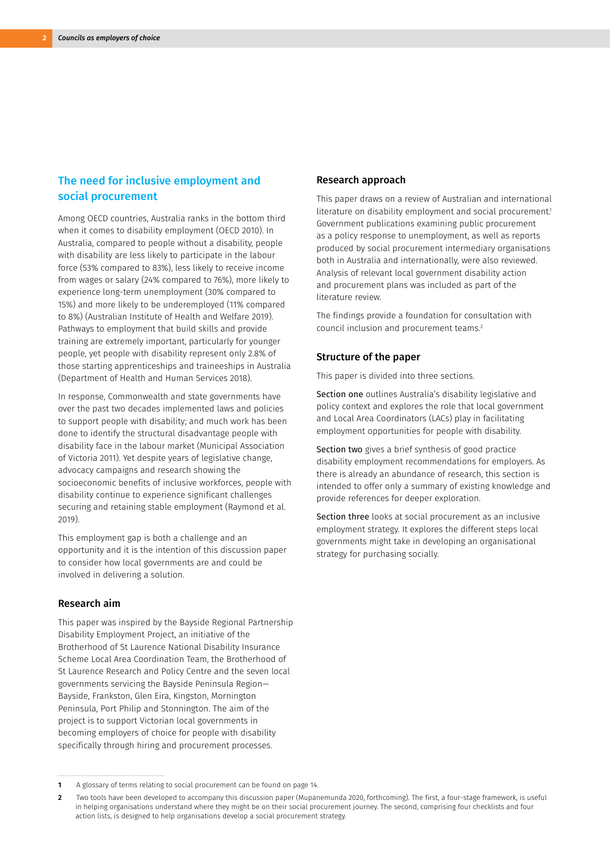# The need for inclusive employment and social procurement

Among OECD countries, Australia ranks in the bottom third when it comes to disability employment (OECD 2010). In Australia, compared to people without a disability, people with disability are less likely to participate in the labour force (53% compared to 83%), less likely to receive income from wages or salary (24% compared to 76%), more likely to experience long-term unemployment (30% compared to 15%) and more likely to be underemployed (11% compared to 8%) (Australian Institute of Health and Welfare 2019). Pathways to employment that build skills and provide training are extremely important, particularly for younger people, yet people with disability represent only 2.8% of those starting apprenticeships and traineeships in Australia (Department of Health and Human Services 2018).

In response, Commonwealth and state governments have over the past two decades implemented laws and policies to support people with disability; and much work has been done to identify the structural disadvantage people with disability face in the labour market (Municipal Association of Victoria 2011). Yet despite years of legislative change, advocacy campaigns and research showing the socioeconomic benefits of inclusive workforces, people with disability continue to experience significant challenges securing and retaining stable employment (Raymond et al. 2019).

This employment gap is both a challenge and an opportunity and it is the intention of this discussion paper to consider how local governments are and could be involved in delivering a solution.

#### Research aim

This paper was inspired by the Bayside Regional Partnership Disability Employment Project, an initiative of the Brotherhood of St Laurence National Disability Insurance Scheme Local Area Coordination Team, the Brotherhood of St Laurence Research and Policy Centre and the seven local governments servicing the Bayside Peninsula Region— Bayside, Frankston, Glen Eira, Kingston, Mornington Peninsula, Port Philip and Stonnington. The aim of the project is to support Victorian local governments in becoming employers of choice for people with disability specifically through hiring and procurement processes.

## Research approach

This paper draws on a review of Australian and international literature on disability employment and social procurement.<sup>1</sup> Government publications examining public procurement as a policy response to unemployment, as well as reports produced by social procurement intermediary organisations both in Australia and internationally, were also reviewed. Analysis of relevant local government disability action and procurement plans was included as part of the literature review.

The findings provide a foundation for consultation with council inclusion and procurement teams.2

#### Structure of the paper

This paper is divided into three sections.

Section one outlines Australia's disability legislative and policy context and explores the role that local government and Local Area Coordinators (LACs) play in facilitating employment opportunities for people with disability.

Section two gives a brief synthesis of good practice disability employment recommendations for employers. As there is already an abundance of research, this section is intended to offer only a summary of existing knowledge and provide references for deeper exploration.

Section three looks at social procurement as an inclusive employment strategy. It explores the different steps local governments might take in developing an organisational strategy for purchasing socially.

**<sup>1</sup>** A glossary of terms relating to social procurement can be found on page 14.

**<sup>2</sup>** Two tools have been developed to accompany this discussion paper (Mupanemunda 2020, forthcoming). The first, a four-stage framework, is useful in helping organisations understand where they might be on their social procurement journey. The second, comprising four checklists and four action lists, is designed to help organisations develop a social procurement strategy.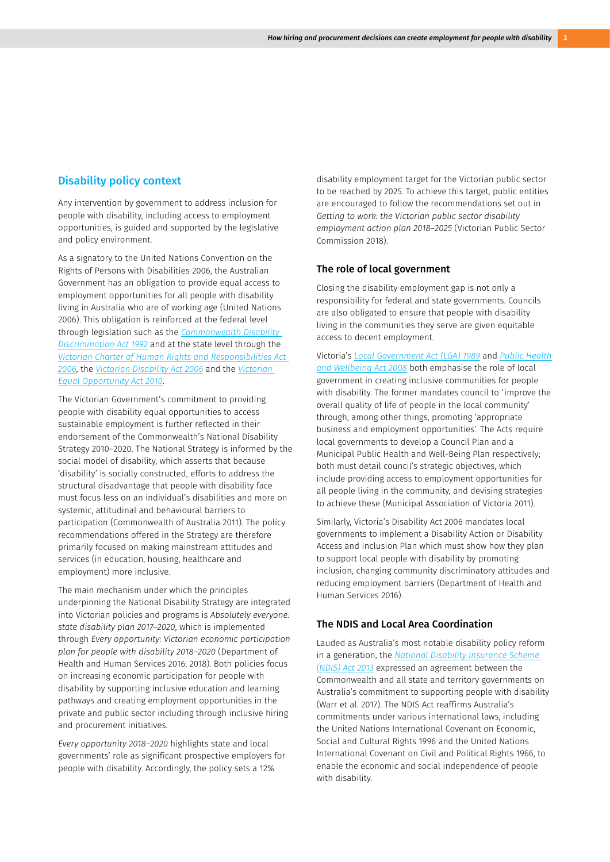# Disability policy context

Any intervention by government to address inclusion for people with disability, including access to employment opportunities, is guided and supported by the legislative and policy environment.

As a signatory to the United Nations Convention on the Rights of Persons with Disabilities 2006, the Australian Government has an obligation to provide equal access to employment opportunities for all people with disability living in Australia who are of working age (United Nations 2006). This obligation is reinforced at the federal level through legislation such as the *[Commonwealth Disability](https://www.legislation.gov.au/Details/C2016C00763)  [Discrimination Act 1992](https://www.legislation.gov.au/Details/C2016C00763)* and at the state level through the *[Victorian Charter of Human Rights and Responsibilities Act](http://www5.austlii.edu.au/au/legis/vic/consol_act/cohrara2006433/)  [2006](http://www5.austlii.edu.au/au/legis/vic/consol_act/cohrara2006433/)*, the *[Victorian Disability Act 2006](http://www8.austlii.edu.au/cgi-bin/viewdb/au/legis/vic/consol_act/da2006121/)* and the *[Victorian](http://classic.austlii.edu.au/au/legis/vic/consol_act/eoa2010250/)  [Equal Opportunity Act 2010](http://classic.austlii.edu.au/au/legis/vic/consol_act/eoa2010250/)*.

The Victorian Government's commitment to providing people with disability equal opportunities to access sustainable employment is further reflected in their endorsement of the Commonwealth's National Disability Strategy 2010–2020. The National Strategy is informed by the social model of disability, which asserts that because 'disability' is socially constructed, efforts to address the structural disadvantage that people with disability face must focus less on an individual's disabilities and more on systemic, attitudinal and behavioural barriers to participation (Commonwealth of Australia 2011). The policy recommendations offered in the Strategy are therefore primarily focused on making mainstream attitudes and services (in education, housing, healthcare and employment) more inclusive.

The main mechanism under which the principles underpinning the National Disability Strategy are integrated into Victorian policies and programs is *Absolutely everyone: state disability plan 2017–2020*, which is implemented through *Every opportunity: Victorian economic participation plan for people with disability 2018–2020* (Department of Health and Human Services 2016; 2018). Both policies focus on increasing economic participation for people with disability by supporting inclusive education and learning pathways and creating employment opportunities in the private and public sector including through inclusive hiring and procurement initiatives.

*Every opportunity 2018–2020* highlights state and local governments' role as significant prospective employers for people with disability. Accordingly, the policy sets a 12%

disability employment target for the Victorian public sector to be reached by 2025. To achieve this target, public entities are encouraged to follow the recommendations set out in *Getting to work: the Victorian public sector disability employment action plan 2018–2025* (Victorian Public Sector Commission 2018).

#### The role of local government

Closing the disability employment gap is not only a responsibility for federal and state governments. Councils are also obligated to ensure that people with disability living in the communities they serve are given equitable access to decent employment.

Victoria's *[Local Government Act \(LGA\) 1989](http://classic.austlii.edu.au/cgi-bin/download.cgi/au/legis/vic/consol_act/lga1989182)* and *[Public Health](http://classic.austlii.edu.au/au/legis/vic/consol_act/phawa2008222/ )  [and Wellbeing Act 2008](http://classic.austlii.edu.au/au/legis/vic/consol_act/phawa2008222/ )* both emphasise the role of local government in creating inclusive communities for people with disability. The former mandates council to 'improve the overall quality of life of people in the local community' through, among other things, promoting 'appropriate business and employment opportunities'. The Acts require local governments to develop a Council Plan and a Municipal Public Health and Well-Being Plan respectively; both must detail council's strategic objectives, which include providing access to employment opportunities for all people living in the community, and devising strategies to achieve these (Municipal Association of Victoria 2011).

Similarly, Victoria's Disability Act 2006 mandates local governments to implement a Disability Action or Disability Access and Inclusion Plan which must show how they plan to support local people with disability by promoting inclusion, changing community discriminatory attitudes and reducing employment barriers (Department of Health and Human Services 2016).

# The NDIS and Local Area Coordination

Lauded as Australia's most notable disability policy reform in a generation, the *[National Disability Insurance Scheme](http://www6.austlii.edu.au/cgi-bin/viewdb/au/legis/cth/consol_act/ndisa2013341/)  [\(NDIS\) Act 2013](http://www6.austlii.edu.au/cgi-bin/viewdb/au/legis/cth/consol_act/ndisa2013341/)* expressed an agreement between the Commonwealth and all state and territory governments on Australia's commitment to supporting people with disability (Warr et al. 2017). The NDIS Act reaffirms Australia's commitments under various international laws, including the United Nations International Covenant on Economic, Social and Cultural Rights 1996 and the United Nations International Covenant on Civil and Political Rights 1966, to enable the economic and social independence of people with disability.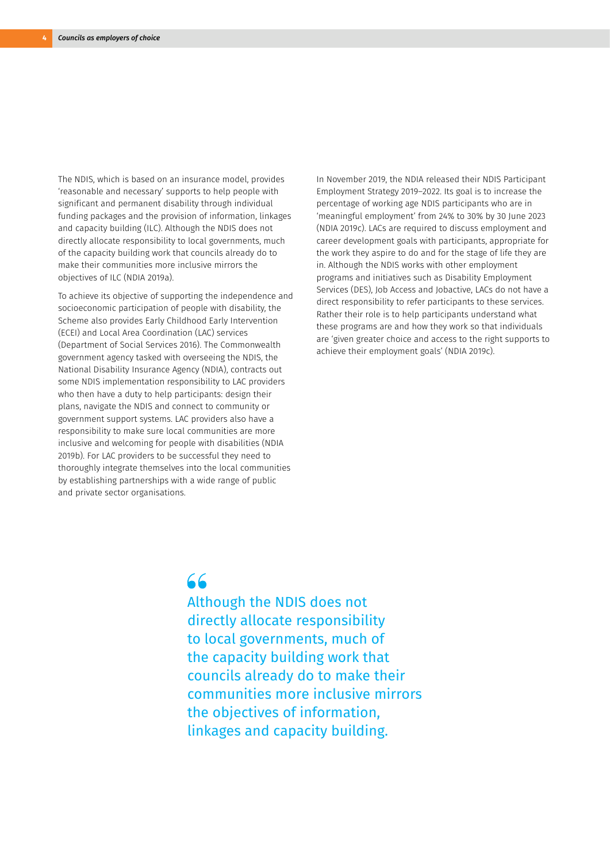The NDIS, which is based on an insurance model, provides 'reasonable and necessary' supports to help people with significant and permanent disability through individual funding packages and the provision of information, linkages and capacity building (ILC). Although the NDIS does not directly allocate responsibility to local governments, much of the capacity building work that councils already do to make their communities more inclusive mirrors the objectives of ILC (NDIA 2019a).

To achieve its objective of supporting the independence and socioeconomic participation of people with disability, the Scheme also provides Early Childhood Early Intervention (ECEI) and Local Area Coordination (LAC) services (Department of Social Services 2016). The Commonwealth government agency tasked with overseeing the NDIS, the National Disability Insurance Agency (NDIA), contracts out some NDIS implementation responsibility to LAC providers who then have a duty to help participants: design their plans, navigate the NDIS and connect to community or government support systems. LAC providers also have a responsibility to make sure local communities are more inclusive and welcoming for people with disabilities (NDIA 2019b). For LAC providers to be successful they need to thoroughly integrate themselves into the local communities by establishing partnerships with a wide range of public and private sector organisations.

In November 2019, the NDIA released their NDIS Participant Employment Strategy 2019–2022. Its goal is to increase the percentage of working age NDIS participants who are in 'meaningful employment' from 24% to 30% by 30 June 2023 (NDIA 2019c). LACs are required to discuss employment and career development goals with participants, appropriate for the work they aspire to do and for the stage of life they are in. Although the NDIS works with other employment programs and initiatives such as Disability Employment Services (DES), Job Access and Jobactive, LACs do not have a direct responsibility to refer participants to these services. Rather their role is to help participants understand what these programs are and how they work so that individuals are 'given greater choice and access to the right supports to achieve their employment goals' (NDIA 2019c).

# 66

Although the NDIS does not directly allocate responsibility to local governments, much of the capacity building work that councils already do to make their communities more inclusive mirrors the objectives of information, linkages and capacity building.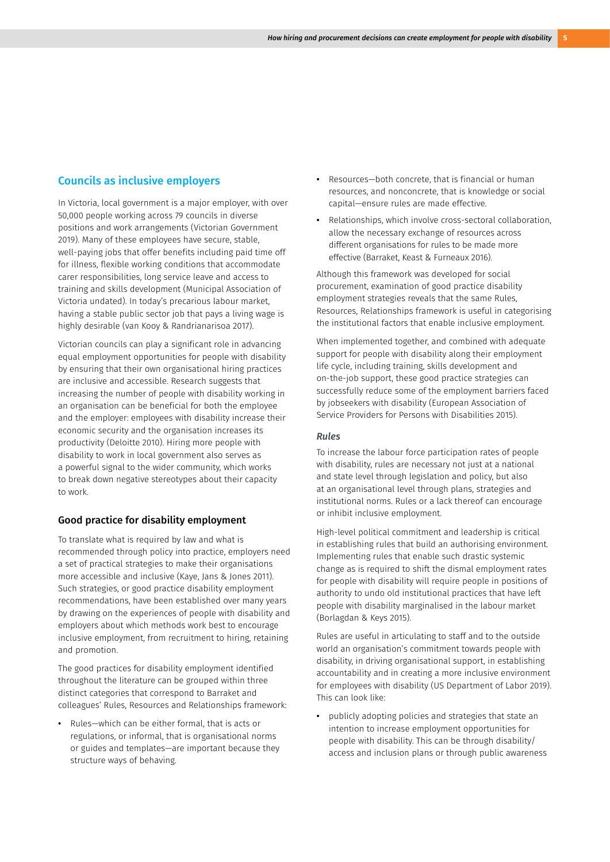# Councils as inclusive employers

In Victoria, local government is a major employer, with over 50,000 people working across 79 councils in diverse positions and work arrangements (Victorian Government 2019). Many of these employees have secure, stable, well-paying jobs that offer benefits including paid time off for illness, flexible working conditions that accommodate carer responsibilities, long service leave and access to training and skills development (Municipal Association of Victoria undated). In today's precarious labour market, having a stable public sector job that pays a living wage is highly desirable (van Kooy & Randrianarisoa 2017).

Victorian councils can play a significant role in advancing equal employment opportunities for people with disability by ensuring that their own organisational hiring practices are inclusive and accessible. Research suggests that increasing the number of people with disability working in an organisation can be beneficial for both the employee and the employer: employees with disability increase their economic security and the organisation increases its productivity (Deloitte 2010). Hiring more people with disability to work in local government also serves as a powerful signal to the wider community, which works to break down negative stereotypes about their capacity to work.

#### Good practice for disability employment

To translate what is required by law and what is recommended through policy into practice, employers need a set of practical strategies to make their organisations more accessible and inclusive (Kaye, Jans & Jones 2011). Such strategies, or good practice disability employment recommendations, have been established over many years by drawing on the experiences of people with disability and employers about which methods work best to encourage inclusive employment, from recruitment to hiring, retaining and promotion.

The good practices for disability employment identified throughout the literature can be grouped within three distinct categories that correspond to Barraket and colleagues' Rules, Resources and Relationships framework:

**•** Rules—which can be either formal, that is acts or regulations, or informal, that is organisational norms or guides and templates—are important because they structure ways of behaving.

- **•** Resources—both concrete, that is financial or human resources, and nonconcrete, that is knowledge or social capital—ensure rules are made effective.
- **•** Relationships, which involve cross-sectoral collaboration, allow the necessary exchange of resources across different organisations for rules to be made more effective (Barraket, Keast & Furneaux 2016).

Although this framework was developed for social procurement, examination of good practice disability employment strategies reveals that the same Rules, Resources, Relationships framework is useful in categorising the institutional factors that enable inclusive employment.

When implemented together, and combined with adequate support for people with disability along their employment life cycle, including training, skills development and on-the-job support, these good practice strategies can successfully reduce some of the employment barriers faced by jobseekers with disability (European Association of Service Providers for Persons with Disabilities 2015).

#### *Rules*

To increase the labour force participation rates of people with disability, rules are necessary not just at a national and state level through legislation and policy, but also at an organisational level through plans, strategies and institutional norms. Rules or a lack thereof can encourage or inhibit inclusive employment.

High-level political commitment and leadership is critical in establishing rules that build an authorising environment. Implementing rules that enable such drastic systemic change as is required to shift the dismal employment rates for people with disability will require people in positions of authority to undo old institutional practices that have left people with disability marginalised in the labour market (Borlagdan & Keys 2015).

Rules are useful in articulating to staff and to the outside world an organisation's commitment towards people with disability, in driving organisational support, in establishing accountability and in creating a more inclusive environment for employees with disability (US Department of Labor 2019). This can look like:

**•** publicly adopting policies and strategies that state an intention to increase employment opportunities for people with disability. This can be through disability/ access and inclusion plans or through public awareness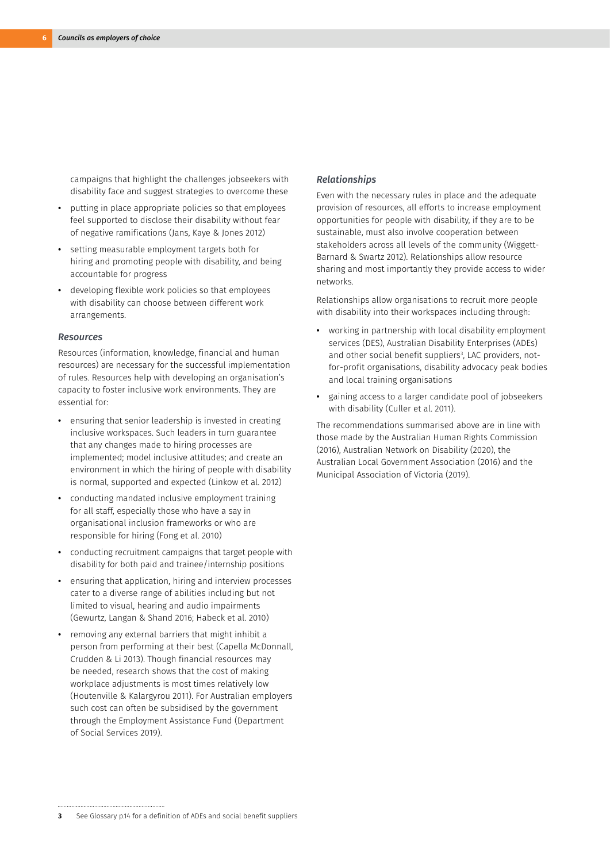campaigns that highlight the challenges jobseekers with disability face and suggest strategies to overcome these

- **•** putting in place appropriate policies so that employees feel supported to disclose their disability without fear of negative ramifications (Jans, Kaye & Jones 2012)
- **•** setting measurable employment targets both for hiring and promoting people with disability, and being accountable for progress
- **•** developing flexible work policies so that employees with disability can choose between different work arrangements.

#### *Resources*

Resources (information, knowledge, financial and human resources) are necessary for the successful implementation of rules. Resources help with developing an organisation's capacity to foster inclusive work environments. They are essential for:

- **•** ensuring that senior leadership is invested in creating inclusive workspaces. Such leaders in turn guarantee that any changes made to hiring processes are implemented; model inclusive attitudes; and create an environment in which the hiring of people with disability is normal, supported and expected (Linkow et al. 2012)
- **•** conducting mandated inclusive employment training for all staff, especially those who have a say in organisational inclusion frameworks or who are responsible for hiring (Fong et al. 2010)
- **•** conducting recruitment campaigns that target people with disability for both paid and trainee/internship positions
- **•** ensuring that application, hiring and interview processes cater to a diverse range of abilities including but not limited to visual, hearing and audio impairments (Gewurtz, Langan & Shand 2016; Habeck et al. 2010)
- **•** removing any external barriers that might inhibit a person from performing at their best (Capella McDonnall, Crudden & Li 2013). Though financial resources may be needed, research shows that the cost of making workplace adjustments is most times relatively low (Houtenville & Kalargyrou 2011). For Australian employers such cost can often be subsidised by the government through the Employment Assistance Fund (Department of Social Services 2019).

#### *Relationships*

Even with the necessary rules in place and the adequate provision of resources, all efforts to increase employment opportunities for people with disability, if they are to be sustainable, must also involve cooperation between stakeholders across all levels of the community (Wiggett-Barnard & Swartz 2012). Relationships allow resource sharing and most importantly they provide access to wider networks.

Relationships allow organisations to recruit more people with disability into their workspaces including through:

- **•** working in partnership with local disability employment services (DES), Australian Disability Enterprises (ADEs) and other social benefit suppliers<sup>3</sup>, LAC providers, notfor-profit organisations, disability advocacy peak bodies and local training organisations
- **•** gaining access to a larger candidate pool of jobseekers with disability (Culler et al. 2011).

The recommendations summarised above are in line with those made by the Australian Human Rights Commission (2016), Australian Network on Disability (2020), the Australian Local Government Association (2016) and the Municipal Association of Victoria (2019).

**<sup>3</sup>** See Glossary p.14 for a definition of ADEs and social benefit suppliers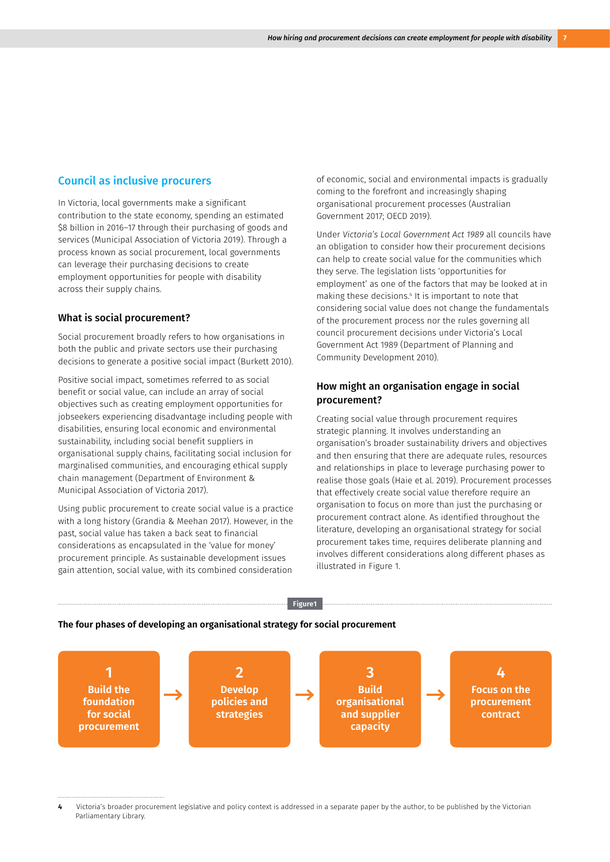# Council as inclusive procurers

In Victoria, local governments make a significant contribution to the state economy, spending an estimated \$8 billion in 2016–17 through their purchasing of goods and services (Municipal Association of Victoria 2019). Through a process known as social procurement, local governments can leverage their purchasing decisions to create employment opportunities for people with disability across their supply chains.

#### What is social procurement?

Social procurement broadly refers to how organisations in both the public and private sectors use their purchasing decisions to generate a positive social impact (Burkett 2010).

Positive social impact, sometimes referred to as social benefit or social value, can include an array of social objectives such as creating employment opportunities for jobseekers experiencing disadvantage including people with disabilities, ensuring local economic and environmental sustainability, including social benefit suppliers in organisational supply chains, facilitating social inclusion for marginalised communities, and encouraging ethical supply chain management (Department of Environment & Municipal Association of Victoria 2017).

Using public procurement to create social value is a practice with a long history (Grandia & Meehan 2017). However, in the past, social value has taken a back seat to financial considerations as encapsulated in the 'value for money' procurement principle. As sustainable development issues gain attention, social value, with its combined consideration

of economic, social and environmental impacts is gradually coming to the forefront and increasingly shaping organisational procurement processes (Australian Government 2017; OECD 2019).

Under *Victoria's Local Government Act 1989* all councils have an obligation to consider how their procurement decisions can help to create social value for the communities which they serve. The legislation lists 'opportunities for employment' as one of the factors that may be looked at in making these decisions.4 It is important to note that considering social value does not change the fundamentals of the procurement process nor the rules governing all council procurement decisions under Victoria's Local Government Act 1989 (Department of Planning and Community Development 2010).

# How might an organisation engage in social procurement?

Creating social value through procurement requires strategic planning. It involves understanding an organisation's broader sustainability drivers and objectives and then ensuring that there are adequate rules, resources and relationships in place to leverage purchasing power to realise those goals (Haie et al. 2019). Procurement processes that effectively create social value therefore require an organisation to focus on more than just the purchasing or procurement contract alone. As identified throughout the literature, developing an organisational strategy for social procurement takes time, requires deliberate planning and involves different considerations along different phases as illustrated in Figure 1.

#### **The four phases of developing an organisational strategy for social procurement**



**Figure1**

**<sup>4</sup>** Victoria's broader procurement legislative and policy context is addressed in a separate paper by the author, to be published by the Victorian Parliamentary Library.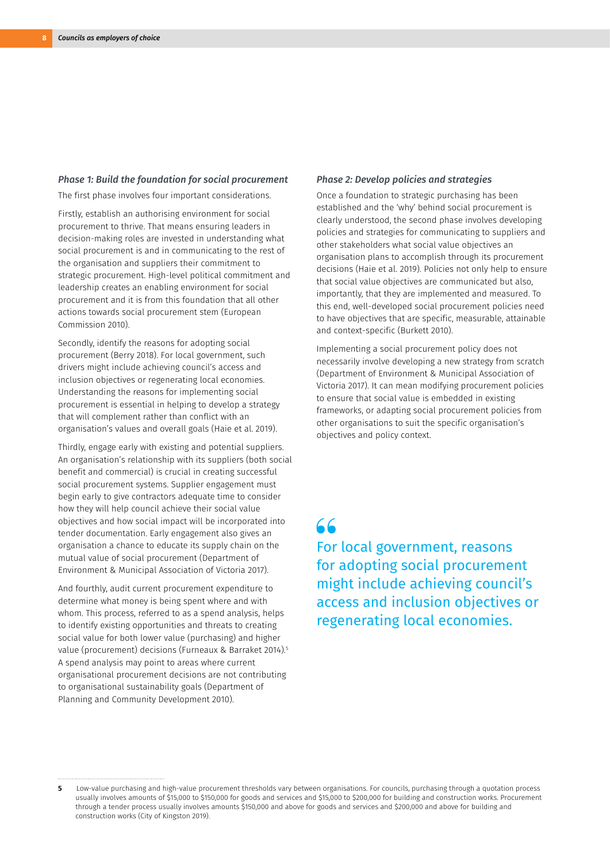#### *Phase 1: Build the foundation for social procurement*

The first phase involves four important considerations.

Firstly, establish an authorising environment for social procurement to thrive. That means ensuring leaders in decision-making roles are invested in understanding what social procurement is and in communicating to the rest of the organisation and suppliers their commitment to strategic procurement. High-level political commitment and leadership creates an enabling environment for social procurement and it is from this foundation that all other actions towards social procurement stem (European Commission 2010).

Secondly, identify the reasons for adopting social procurement (Berry 2018). For local government, such drivers might include achieving council's access and inclusion objectives or regenerating local economies. Understanding the reasons for implementing social procurement is essential in helping to develop a strategy that will complement rather than conflict with an organisation's values and overall goals (Haie et al. 2019).

Thirdly, engage early with existing and potential suppliers. An organisation's relationship with its suppliers (both social benefit and commercial) is crucial in creating successful social procurement systems. Supplier engagement must begin early to give contractors adequate time to consider how they will help council achieve their social value objectives and how social impact will be incorporated into tender documentation. Early engagement also gives an organisation a chance to educate its supply chain on the mutual value of social procurement (Department of Environment & Municipal Association of Victoria 2017).

And fourthly, audit current procurement expenditure to determine what money is being spent where and with whom. This process, referred to as a spend analysis, helps to identify existing opportunities and threats to creating social value for both lower value (purchasing) and higher value (procurement) decisions (Furneaux & Barraket 2014).<sup>5</sup> A spend analysis may point to areas where current organisational procurement decisions are not contributing to organisational sustainability goals (Department of Planning and Community Development 2010).

#### *Phase 2: Develop policies and strategies*

Once a foundation to strategic purchasing has been established and the 'why' behind social procurement is clearly understood, the second phase involves developing policies and strategies for communicating to suppliers and other stakeholders what social value objectives an organisation plans to accomplish through its procurement decisions (Haie et al. 2019). Policies not only help to ensure that social value objectives are communicated but also, importantly, that they are implemented and measured. To this end, well-developed social procurement policies need to have objectives that are specific, measurable, attainable and context-specific (Burkett 2010).

Implementing a social procurement policy does not necessarily involve developing a new strategy from scratch (Department of Environment & Municipal Association of Victoria 2017). It can mean modifying procurement policies to ensure that social value is embedded in existing frameworks, or adapting social procurement policies from other organisations to suit the specific organisation's objectives and policy context.

 $66$ 

For local government, reasons for adopting social procurement might include achieving council's access and inclusion objectives or regenerating local economies.

**<sup>5</sup>** Low-value purchasing and high-value procurement thresholds vary between organisations. For councils, purchasing through a quotation process usually involves amounts of \$15,000 to \$150,000 for goods and services and \$15,000 to \$200,000 for building and construction works. Procurement through a tender process usually involves amounts \$150,000 and above for goods and services and \$200,000 and above for building and construction works (City of Kingston 2019).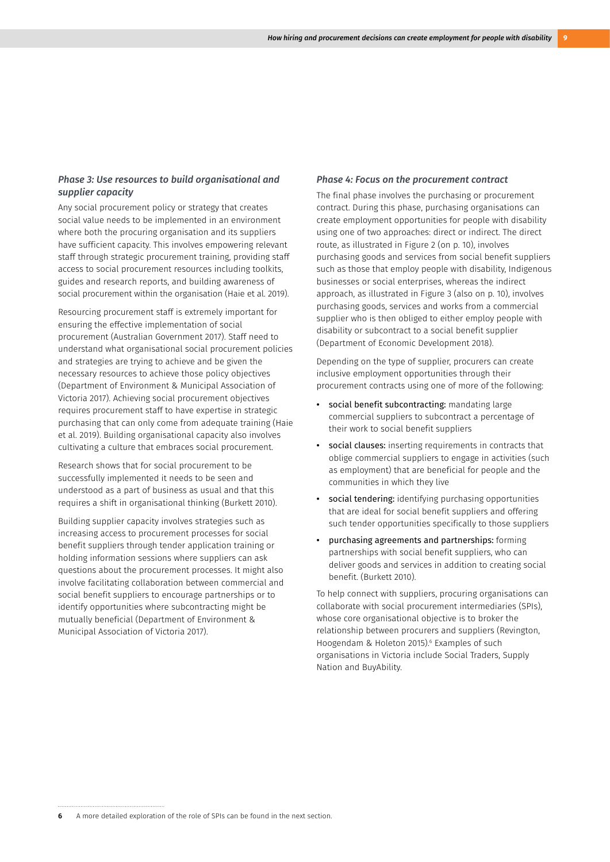# *Phase 3: Use resources to build organisational and supplier capacity*

Any social procurement policy or strategy that creates social value needs to be implemented in an environment where both the procuring organisation and its suppliers have sufficient capacity. This involves empowering relevant staff through strategic procurement training, providing staff access to social procurement resources including toolkits, guides and research reports, and building awareness of social procurement within the organisation (Haie et al. 2019).

Resourcing procurement staff is extremely important for ensuring the effective implementation of social procurement (Australian Government 2017). Staff need to understand what organisational social procurement policies and strategies are trying to achieve and be given the necessary resources to achieve those policy objectives (Department of Environment & Municipal Association of Victoria 2017). Achieving social procurement objectives requires procurement staff to have expertise in strategic purchasing that can only come from adequate training (Haie et al. 2019). Building organisational capacity also involves cultivating a culture that embraces social procurement.

Research shows that for social procurement to be successfully implemented it needs to be seen and understood as a part of business as usual and that this requires a shift in organisational thinking (Burkett 2010).

Building supplier capacity involves strategies such as increasing access to procurement processes for social benefit suppliers through tender application training or holding information sessions where suppliers can ask questions about the procurement processes. It might also involve facilitating collaboration between commercial and social benefit suppliers to encourage partnerships or to identify opportunities where subcontracting might be mutually beneficial (Department of Environment & Municipal Association of Victoria 2017).

#### *Phase 4: Focus on the procurement contract*

The final phase involves the purchasing or procurement contract. During this phase, purchasing organisations can create employment opportunities for people with disability using one of two approaches: direct or indirect. The direct route, as illustrated in Figure 2 (on p. 10), involves purchasing goods and services from social benefit suppliers such as those that employ people with disability, Indigenous businesses or social enterprises, whereas the indirect approach, as illustrated in Figure 3 (also on p. 10), involves purchasing goods, services and works from a commercial supplier who is then obliged to either employ people with disability or subcontract to a social benefit supplier (Department of Economic Development 2018).

Depending on the type of supplier, procurers can create inclusive employment opportunities through their procurement contracts using one of more of the following:

- **•** social benefit subcontracting: mandating large commercial suppliers to subcontract a percentage of their work to social benefit suppliers
- **•** social clauses: inserting requirements in contracts that oblige commercial suppliers to engage in activities (such as employment) that are beneficial for people and the communities in which they live
- **•** social tendering: identifying purchasing opportunities that are ideal for social benefit suppliers and offering such tender opportunities specifically to those suppliers
- **•** purchasing agreements and partnerships: forming partnerships with social benefit suppliers, who can deliver goods and services in addition to creating social benefit. (Burkett 2010).

To help connect with suppliers, procuring organisations can collaborate with social procurement intermediaries (SPIs), whose core organisational objective is to broker the relationship between procurers and suppliers (Revington, Hoogendam & Holeton 2015).<sup>6</sup> Examples of such organisations in Victoria include Social Traders, Supply Nation and BuyAbility.

**6** A more detailed exploration of the role of SPIs can be found in the next section.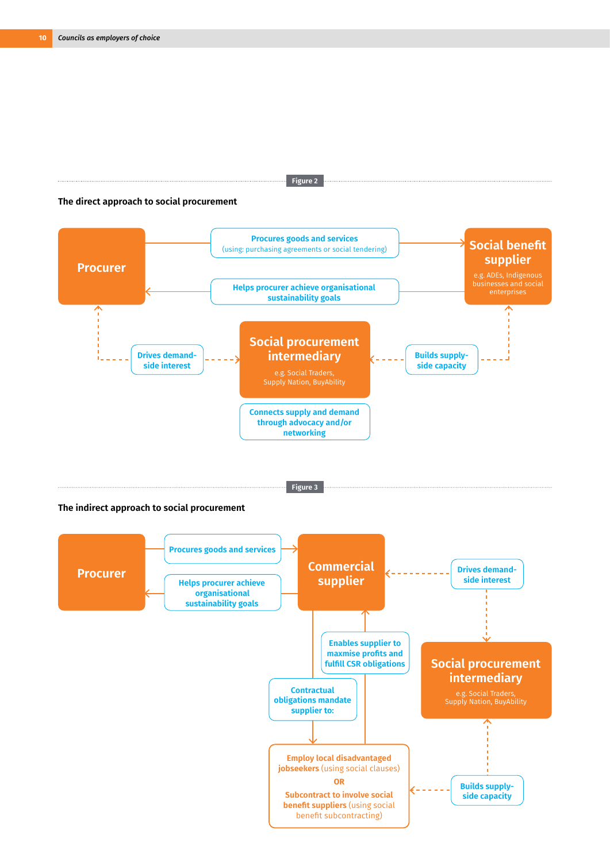**Figure 2**

#### **The direct approach to social procurement**



**Figure 3**

#### **The indirect approach to social procurement**

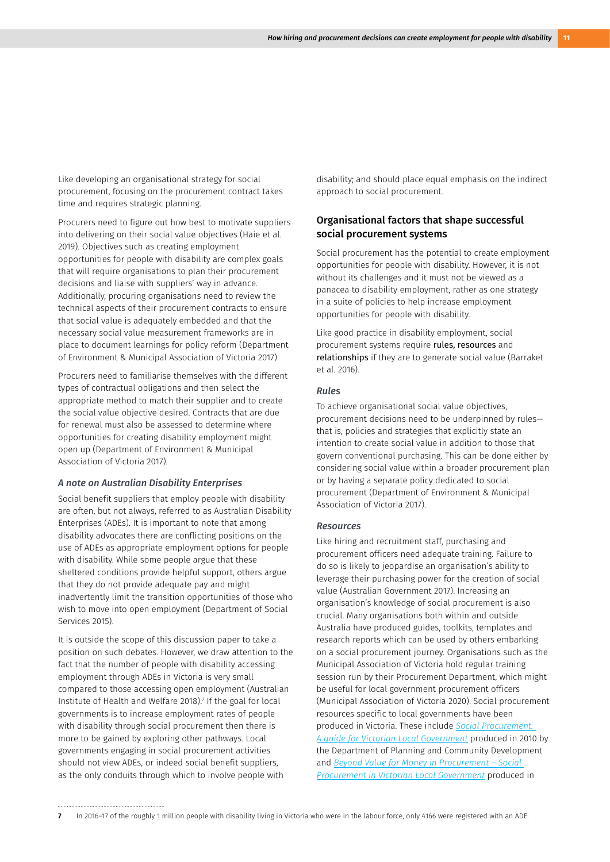Like developing an organisational strategy for social procurement, focusing on the procurement contract takes time and requires strategic planning.

Procurers need to figure out how best to motivate suppliers into delivering on their social value objectives (Haie et al. 2019). Objectives such as creating employment opportunities for people with disability are complex goals that will require organisations to plan their procurement decisions and liaise with suppliers' way in advance. Additionally, procuring organisations need to review the technical aspects of their procurement contracts to ensure that social value is adequately embedded and that the necessary social value measurement frameworks are in place to document learnings for policy reform (Department of Environment & Municipal Association of Victoria 2017)

Procurers need to familiarise themselves with the different types of contractual obligations and then select the appropriate method to match their supplier and to create the social value objective desired. Contracts that are due for renewal must also be assessed to determine where opportunities for creating disability employment might open up (Department of Environment & Municipal Association of Victoria 2017).

#### *A note on Australian Disability Enterprises*

Social benefit suppliers that employ people with disability are often, but not always, referred to as Australian Disability Enterprises (ADEs). It is important to note that among disability advocates there are conflicting positions on the use of ADEs as appropriate employment options for people with disability. While some people argue that these sheltered conditions provide helpful support, others argue that they do not provide adequate pay and might inadvertently limit the transition opportunities of those who wish to move into open employment (Department of Social Services 2015).

It is outside the scope of this discussion paper to take a position on such debates. However, we draw attention to the fact that the number of people with disability accessing employment through ADEs in Victoria is very small compared to those accessing open employment (Australian Institute of Health and Welfare 2018).7 If the goal for local governments is to increase employment rates of people with disability through social procurement then there is more to be gained by exploring other pathways. Local governments engaging in social procurement activities should not view ADEs, or indeed social benefit suppliers, as the only conduits through which to involve people with

disability; and should place equal emphasis on the indirect approach to social procurement.

# Organisational factors that shape successful social procurement systems

Social procurement has the potential to create employment opportunities for people with disability. However, it is not without its challenges and it must not be viewed as a panacea to disability employment, rather as one strategy in a suite of policies to help increase employment opportunities for people with disability.

Like good practice in disability employment, social procurement systems require rules, resources and relationships if they are to generate social value (Barraket et al. 2016).

#### *Rules*

To achieve organisational social value objectives, procurement decisions need to be underpinned by rules that is, policies and strategies that explicitly state an intention to create social value in addition to those that govern conventional purchasing. This can be done either by considering social value within a broader procurement plan or by having a separate policy dedicated to social procurement (Department of Environment & Municipal Association of Victoria 2017).

#### *Resources*

Like hiring and recruitment staff, purchasing and procurement officers need adequate training. Failure to do so is likely to jeopardise an organisation's ability to leverage their purchasing power for the creation of social value (Australian Government 2017). Increasing an organisation's knowledge of social procurement is also crucial. Many organisations both within and outside Australia have produced guides, toolkits, templates and research reports which can be used by others embarking on a social procurement journey. Organisations such as the Municipal Association of Victoria hold regular training session run by their Procurement Department, which might be useful for local government procurement officers (Municipal Association of Victoria 2020). Social procurement resources specific to local governments have been produced in Victoria. These include *[Social Procurement:](http://socialprocurementaustralasia.com/wp-content/uploads/2013/09/Social-Procurement-A-Guide-For-Victorian-Local-Government.pdf)  [A guide for Victorian Local Government](http://socialprocurementaustralasia.com/wp-content/uploads/2013/09/Social-Procurement-A-Guide-For-Victorian-Local-Government.pdf)* produced in 2010 by the Department of Planning and Community Development and *[Beyond Value for Money in Procurement – Social](https://www.localgovernment.vic.gov.au/__data/assets/pdf_file/0020/48512/Beyond-Value-for-Money-Social-Procurement-for-Victorian-Local-Government-2nd-edition-update-4-April-2019.pdf)  [Procurement in Victorian Local Government](https://www.localgovernment.vic.gov.au/__data/assets/pdf_file/0020/48512/Beyond-Value-for-Money-Social-Procurement-for-Victorian-Local-Government-2nd-edition-update-4-April-2019.pdf)* produced in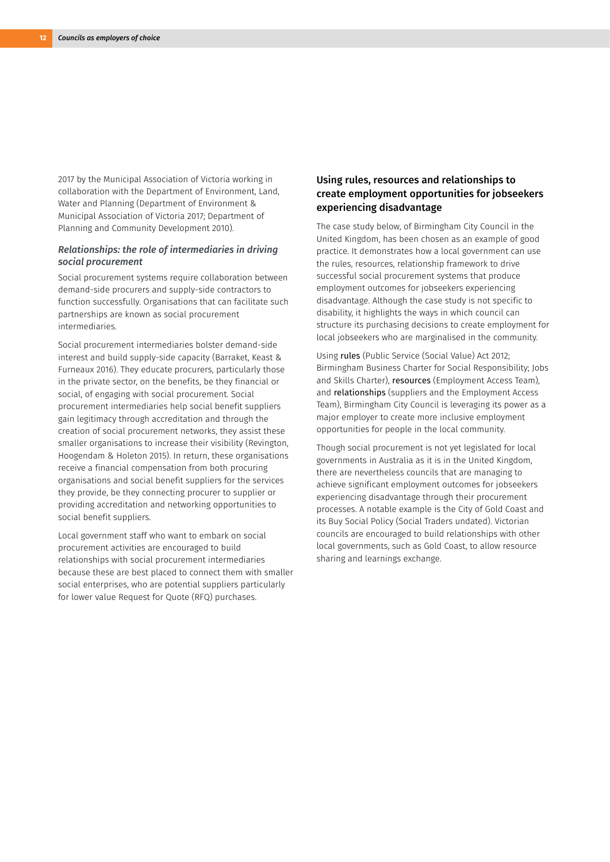2017 by the Municipal Association of Victoria working in collaboration with the Department of Environment, Land, Water and Planning (Department of Environment & Municipal Association of Victoria 2017; Department of Planning and Community Development 2010).

# *Relationships: the role of intermediaries in driving social procurement*

Social procurement systems require collaboration between demand-side procurers and supply-side contractors to function successfully. Organisations that can facilitate such partnerships are known as social procurement intermediaries.

Social procurement intermediaries bolster demand-side interest and build supply-side capacity (Barraket, Keast & Furneaux 2016). They educate procurers, particularly those in the private sector, on the benefits, be they financial or social, of engaging with social procurement. Social procurement intermediaries help social benefit suppliers gain legitimacy through accreditation and through the creation of social procurement networks, they assist these smaller organisations to increase their visibility (Revington, Hoogendam & Holeton 2015). In return, these organisations receive a financial compensation from both procuring organisations and social benefit suppliers for the services they provide, be they connecting procurer to supplier or providing accreditation and networking opportunities to social benefit suppliers.

Local government staff who want to embark on social procurement activities are encouraged to build relationships with social procurement intermediaries because these are best placed to connect them with smaller social enterprises, who are potential suppliers particularly for lower value Request for Quote (RFQ) purchases.

# Using rules, resources and relationships to create employment opportunities for jobseekers experiencing disadvantage

The case study below, of Birmingham City Council in the United Kingdom, has been chosen as an example of good practice. It demonstrates how a local government can use the rules, resources, relationship framework to drive successful social procurement systems that produce employment outcomes for jobseekers experiencing disadvantage. Although the case study is not specific to disability, it highlights the ways in which council can structure its purchasing decisions to create employment for local jobseekers who are marginalised in the community.

Using rules (Public Service (Social Value) Act 2012; Birmingham Business Charter for Social Responsibility; Jobs and Skills Charter), resources (Employment Access Team), and relationships (suppliers and the Employment Access Team), Birmingham City Council is leveraging its power as a major employer to create more inclusive employment opportunities for people in the local community.

Though social procurement is not yet legislated for local governments in Australia as it is in the United Kingdom, there are nevertheless councils that are managing to achieve significant employment outcomes for jobseekers experiencing disadvantage through their procurement processes. A notable example is the City of Gold Coast and its Buy Social Policy (Social Traders undated). Victorian councils are encouraged to build relationships with other local governments, such as Gold Coast, to allow resource sharing and learnings exchange.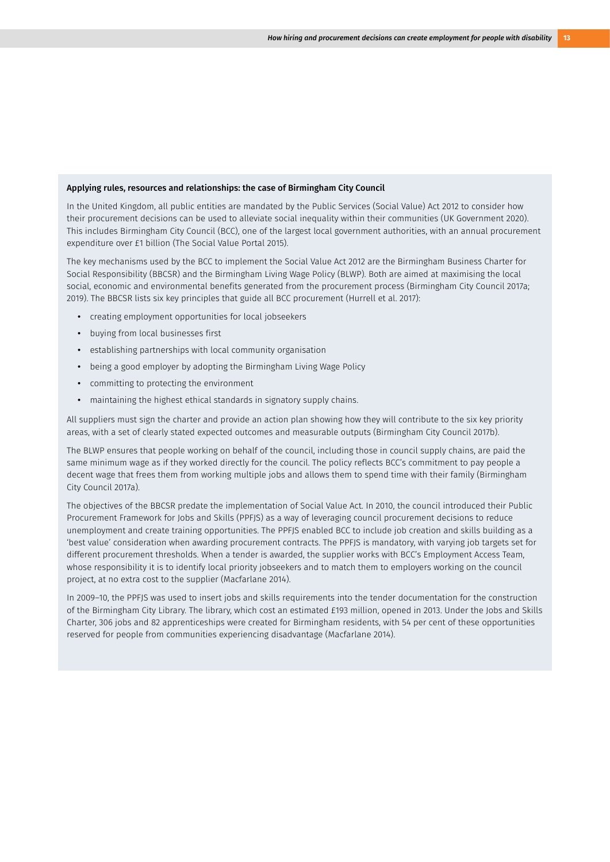#### Applying rules, resources and relationships: the case of Birmingham City Council

In the United Kingdom, all public entities are mandated by the Public Services (Social Value) Act 2012 to consider how their procurement decisions can be used to alleviate social inequality within their communities (UK Government 2020). This includes Birmingham City Council (BCC), one of the largest local government authorities, with an annual procurement expenditure over £1 billion (The Social Value Portal 2015).

The key mechanisms used by the BCC to implement the Social Value Act 2012 are the Birmingham Business Charter for Social Responsibility (BBCSR) and the Birmingham Living Wage Policy (BLWP). Both are aimed at maximising the local social, economic and environmental benefits generated from the procurement process (Birmingham City Council 2017a; 2019). The BBCSR lists six key principles that guide all BCC procurement (Hurrell et al. 2017):

- **•** creating employment opportunities for local jobseekers
- **•** buying from local businesses first
- **•** establishing partnerships with local community organisation
- **•** being a good employer by adopting the Birmingham Living Wage Policy
- **•** committing to protecting the environment
- **•** maintaining the highest ethical standards in signatory supply chains.

All suppliers must sign the charter and provide an action plan showing how they will contribute to the six key priority areas, with a set of clearly stated expected outcomes and measurable outputs (Birmingham City Council 2017b).

The BLWP ensures that people working on behalf of the council, including those in council supply chains, are paid the same minimum wage as if they worked directly for the council. The policy reflects BCC's commitment to pay people a decent wage that frees them from working multiple jobs and allows them to spend time with their family (Birmingham City Council 2017a).

The objectives of the BBCSR predate the implementation of Social Value Act. In 2010, the council introduced their Public Procurement Framework for Jobs and Skills (PPFJS) as a way of leveraging council procurement decisions to reduce unemployment and create training opportunities. The PPFJS enabled BCC to include job creation and skills building as a 'best value' consideration when awarding procurement contracts. The PPFJS is mandatory, with varying job targets set for different procurement thresholds. When a tender is awarded, the supplier works with BCC's Employment Access Team, whose responsibility it is to identify local priority jobseekers and to match them to employers working on the council project, at no extra cost to the supplier (Macfarlane 2014).

In 2009–10, the PPFJS was used to insert jobs and skills requirements into the tender documentation for the construction of the Birmingham City Library. The library, which cost an estimated £193 million, opened in 2013. Under the Jobs and Skills Charter, 306 jobs and 82 apprenticeships were created for Birmingham residents, with 54 per cent of these opportunities reserved for people from communities experiencing disadvantage (Macfarlane 2014).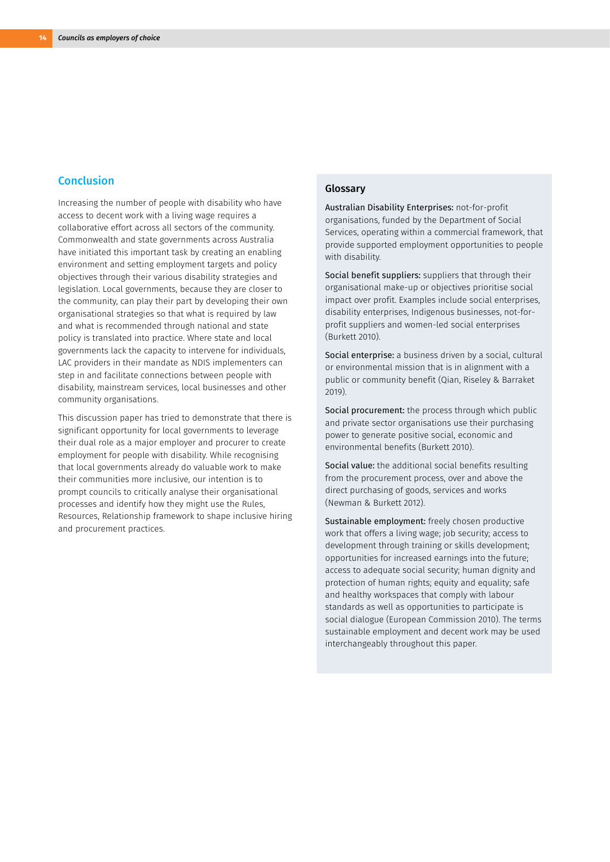# **Conclusion**

Increasing the number of people with disability who have access to decent work with a living wage requires a collaborative effort across all sectors of the community. Commonwealth and state governments across Australia have initiated this important task by creating an enabling environment and setting employment targets and policy objectives through their various disability strategies and legislation. Local governments, because they are closer to the community, can play their part by developing their own organisational strategies so that what is required by law and what is recommended through national and state policy is translated into practice. Where state and local governments lack the capacity to intervene for individuals, LAC providers in their mandate as NDIS implementers can step in and facilitate connections between people with disability, mainstream services, local businesses and other community organisations.

This discussion paper has tried to demonstrate that there is significant opportunity for local governments to leverage their dual role as a major employer and procurer to create employment for people with disability. While recognising that local governments already do valuable work to make their communities more inclusive, our intention is to prompt councils to critically analyse their organisational processes and identify how they might use the Rules, Resources, Relationship framework to shape inclusive hiring and procurement practices.

#### Glossary

Australian Disability Enterprises: not-for-profit organisations, funded by the Department of Social Services, operating within a commercial framework, that provide supported employment opportunities to people with disability.

Social benefit suppliers: suppliers that through their organisational make-up or objectives prioritise social impact over profit. Examples include social enterprises, disability enterprises, Indigenous businesses, not-forprofit suppliers and women-led social enterprises (Burkett 2010).

Social enterprise: a business driven by a social, cultural or environmental mission that is in alignment with a public or community benefit (Qian, Riseley & Barraket 2019).

Social procurement: the process through which public and private sector organisations use their purchasing power to generate positive social, economic and environmental benefits (Burkett 2010).

Social value: the additional social benefits resulting from the procurement process, over and above the direct purchasing of goods, services and works (Newman & Burkett 2012).

Sustainable employment: freely chosen productive work that offers a living wage; job security; access to development through training or skills development; opportunities for increased earnings into the future; access to adequate social security; human dignity and protection of human rights; equity and equality; safe and healthy workspaces that comply with labour standards as well as opportunities to participate is social dialogue (European Commission 2010). The terms sustainable employment and decent work may be used interchangeably throughout this paper.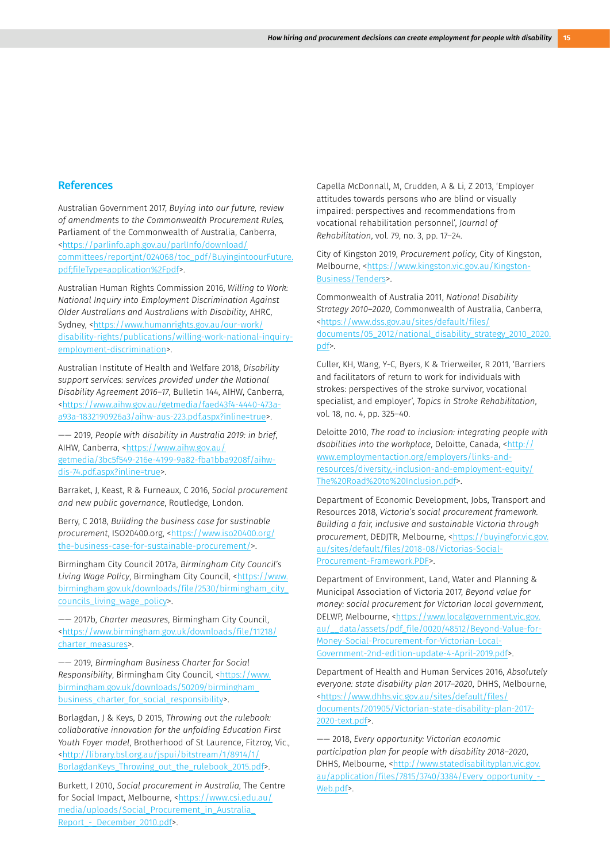# **References**

Australian Government 2017, *Buying into our future, review of amendments to the Commonwealth Procurement Rules,* Parliament of the Commonwealth of Australia, Canberra, <[https://parlinfo.aph.gov.au/parlInfo/download/](https://parlinfo.aph.gov.au/parlInfo/download/committees/reportjnt/024068/toc_pdf/BuyingintoourFuture.pdf;fileType=application%2Fpdf) [committees/reportjnt/024068/toc\\_pdf/BuyingintoourFuture.](https://parlinfo.aph.gov.au/parlInfo/download/committees/reportjnt/024068/toc_pdf/BuyingintoourFuture.pdf;fileType=application%2Fpdf) [pdf;fileType=application%2Fpdf>](https://parlinfo.aph.gov.au/parlInfo/download/committees/reportjnt/024068/toc_pdf/BuyingintoourFuture.pdf;fileType=application%2Fpdf).

Australian Human Rights Commission 2016, *Willing to Work: National Inquiry into Employment Discrimination Against Older Australians and Australians with Disability*, AHRC, Sydney, [<https://www.humanrights.gov.au/our-work/](https://www.humanrights.gov.au/our-work/disability-rights/publications/willing-work-national-inquiry-employment-discrimination) [disability-rights/publications/willing-work-national-inquiry](https://www.humanrights.gov.au/our-work/disability-rights/publications/willing-work-national-inquiry-employment-discrimination)[employment-discrimination](https://www.humanrights.gov.au/our-work/disability-rights/publications/willing-work-national-inquiry-employment-discrimination)>.

Australian Institute of Health and Welfare 2018, *Disability support services: services provided under the National Disability Agreement 2016–17*, Bulletin 144, AIHW, Canberra, <[https://www.aihw.gov.au/getmedia/faed43f4-4440-473a](https://www.aihw.gov.au/getmedia/faed43f4-4440-473a-a93a-1832190926a3/aihw-aus-223.pdf.aspx?inline=true)[a93a-1832190926a3/aihw-aus-223.pdf.aspx?inline=true>](https://www.aihw.gov.au/getmedia/faed43f4-4440-473a-a93a-1832190926a3/aihw-aus-223.pdf.aspx?inline=true).

—— 2019, *People with disability in Australia 2019: in brief*, AIHW, Canberra, [<https://www.aihw.gov.au/](https://www.aihw.gov.au/getmedia/3bc5f549-216e-4199-9a82-fba1bba9208f/aihw-dis-74.pdf.aspx?inline=true) [getmedia/3bc5f549-216e-4199-9a82-fba1bba9208f/aihw](https://www.aihw.gov.au/getmedia/3bc5f549-216e-4199-9a82-fba1bba9208f/aihw-dis-74.pdf.aspx?inline=true)[dis-74.pdf.aspx?inline=true>](https://www.aihw.gov.au/getmedia/3bc5f549-216e-4199-9a82-fba1bba9208f/aihw-dis-74.pdf.aspx?inline=true).

Barraket, J, Keast, R & Furneaux, C 2016, *Social procurement and new public governance*, Routledge, London.

Berry, C 2018, *Building the business case for sustinable procurement*, ISO20400.org, [<https://www.iso20400.org/](https://www.iso20400.org/the-business-case-for-sustainable-procurement/) [the-business-case-for-sustainable-procurement/>](https://www.iso20400.org/the-business-case-for-sustainable-procurement/).

Birmingham City Council 2017a, *Birmingham City Council's Living Wage Policy*, Birmingham City Council, <[https://www.](https://www.birmingham.gov.uk/downloads/file/2530/birmingham_city_councils_living_wage_policy) [birmingham.gov.uk/downloads/file/2530/birmingham\\_city\\_](https://www.birmingham.gov.uk/downloads/file/2530/birmingham_city_councils_living_wage_policy) [councils\\_living\\_wage\\_policy](https://www.birmingham.gov.uk/downloads/file/2530/birmingham_city_councils_living_wage_policy)>.

—— 2017b, *Charter measures*, Birmingham City Council, <[https://www.birmingham.gov.uk/downloads/file/11218/](https://www.birmingham.gov.uk/downloads/file/11218/charter_measures) [charter\\_measures>](https://www.birmingham.gov.uk/downloads/file/11218/charter_measures).

—— 2019, *Birmingham Business Charter for Social Responsibility*, Birmingham City Council, <[https://www.](https://www.birmingham.gov.uk/downloads/50209/birmingham_business_charter_for_social_responsibility) [birmingham.gov.uk/downloads/50209/birmingham\\_](https://www.birmingham.gov.uk/downloads/50209/birmingham_business_charter_for_social_responsibility) [business\\_charter\\_for\\_social\\_responsibility>](https://www.birmingham.gov.uk/downloads/50209/birmingham_business_charter_for_social_responsibility).

Borlagdan, J & Keys, D 2015, *Throwing out the rulebook: collaborative innovation for the unfolding Education First Youth Foyer model*, Brotherhood of St Laurence, Fitzroy, Vic., <[http://library.bsl.org.au/jspui/bitstream/1/8914/1/](http://library.bsl.org.au/jspui/bitstream/1/8914/1/BorlagdanKeys_Throwing_out_the_rulebook_2015.pdf) [BorlagdanKeys\\_Throwing\\_out\\_the\\_rulebook\\_2015.pdf>](http://library.bsl.org.au/jspui/bitstream/1/8914/1/BorlagdanKeys_Throwing_out_the_rulebook_2015.pdf).

Burkett, I 2010, *Social procurement in Australia*, The Centre for Social Impact, Melbourne, [<https://www.csi.edu.au/](https://www.csi.edu.au/media/uploads/Social_Procurement_in_Australia_Report_-_December_2010.pdf) [media/uploads/Social\\_Procurement\\_in\\_Australia\\_](https://www.csi.edu.au/media/uploads/Social_Procurement_in_Australia_Report_-_December_2010.pdf) [Report\\_-\\_December\\_2010.pdf>](https://www.csi.edu.au/media/uploads/Social_Procurement_in_Australia_Report_-_December_2010.pdf).

Capella McDonnall, M, Crudden, A & Li, Z 2013, 'Employer attitudes towards persons who are blind or visually impaired: perspectives and recommendations from vocational rehabilitation personnel', *Journal of Rehabilitation*, vol. 79, no. 3, pp. 17–24.

City of Kingston 2019, *Procurement policy*, City of Kingston, Melbourne, [<https://www.kingston.vic.gov.au/Kingston-](https://www.kingston.vic.gov.au/Kingston-Business/Tenders)[Business/Tenders>](https://www.kingston.vic.gov.au/Kingston-Business/Tenders).

Commonwealth of Australia 2011, *National Disability Strategy 2010–2020*, Commonwealth of Australia, Canberra, [<https://www.dss.gov.au/sites/default/files/](https://www.dss.gov.au/sites/default/files/documents/05_2012/national_disability_strategy_2010_2020.pdf) [documents/05\\_2012/national\\_disability\\_strategy\\_2010\\_2020.](https://www.dss.gov.au/sites/default/files/documents/05_2012/national_disability_strategy_2010_2020.pdf) [pdf>](https://www.dss.gov.au/sites/default/files/documents/05_2012/national_disability_strategy_2010_2020.pdf).

Culler, KH, Wang, Y-C, Byers, K & Trierweiler, R 2011, 'Barriers and facilitators of return to work for individuals with strokes: perspectives of the stroke survivor, vocational specialist, and employer', *Topics in Stroke Rehabilitation*, vol. 18, no. 4, pp. 325–40.

Deloitte 2010, *The road to inclusion: integrating people with dsabilities into the workplace*, Deloitte, Canada, [<http://](http://www.employmentaction.org/employers/links-and-resources/diversity,-inclusion-and-employment-equity/The%20Road%20to%20Inclusion.pdf) [www.employmentaction.org/employers/links-and](http://www.employmentaction.org/employers/links-and-resources/diversity,-inclusion-and-employment-equity/The%20Road%20to%20Inclusion.pdf)[resources/diversity,-inclusion-and-employment-equity/](http://www.employmentaction.org/employers/links-and-resources/diversity,-inclusion-and-employment-equity/The%20Road%20to%20Inclusion.pdf) [The%20Road%20to%20Inclusion.pdf](http://www.employmentaction.org/employers/links-and-resources/diversity,-inclusion-and-employment-equity/The%20Road%20to%20Inclusion.pdf)>.

Department of Economic Development, Jobs, Transport and Resources 2018, *Victoria's social procurement framework. Building a fair, inclusive and sustainable Victoria through procurement*, DEDJTR, Melbourne, <[https://buyingfor.vic.gov.](https://buyingfor.vic.gov.au/sites/default/files/2018-08/Victorias-Social-Procurement-Framework.PDF) [au/sites/default/files/2018-08/Victorias-Social-](https://buyingfor.vic.gov.au/sites/default/files/2018-08/Victorias-Social-Procurement-Framework.PDF)[Procurement-Framework.PDF>](https://buyingfor.vic.gov.au/sites/default/files/2018-08/Victorias-Social-Procurement-Framework.PDF).

Department of Environment, Land, Water and Planning & Municipal Association of Victoria 2017, *Beyond value for money: social procurement for Victorian local government*, DELWP, Melbourne, <[https://www.localgovernment.vic.gov.](https://www.localgovernment.vic.gov.au/__data/assets/pdf_file/0020/48512/Beyond-Value-for-Money-Social-Procurement-for-Victorian-Local-Government-2nd-edition-update-4-April-2019.pdf) [au/\\_\\_data/assets/pdf\\_file/0020/48512/Beyond-Value-for-](https://www.localgovernment.vic.gov.au/__data/assets/pdf_file/0020/48512/Beyond-Value-for-Money-Social-Procurement-for-Victorian-Local-Government-2nd-edition-update-4-April-2019.pdf)[Money-Social-Procurement-for-Victorian-Local-](https://www.localgovernment.vic.gov.au/__data/assets/pdf_file/0020/48512/Beyond-Value-for-Money-Social-Procurement-for-Victorian-Local-Government-2nd-edition-update-4-April-2019.pdf)[Government-2nd-edition-update-4-April-2019.pdf>](https://www.localgovernment.vic.gov.au/__data/assets/pdf_file/0020/48512/Beyond-Value-for-Money-Social-Procurement-for-Victorian-Local-Government-2nd-edition-update-4-April-2019.pdf).

Department of Health and Human Services 2016, *Absolutely everyone: state disability plan 2017–2020*, DHHS, Melbourne, [<https://www.dhhs.vic.gov.au/sites/default/files/](https://www.dhhs.vic.gov.au/sites/default/files/documents/201905/Victorian-state-disability-plan-2017-2020-text.pdf) [documents/201905/Victorian-state-disability-plan-2017-](https://www.dhhs.vic.gov.au/sites/default/files/documents/201905/Victorian-state-disability-plan-2017-2020-text.pdf) [2020-text.pdf](https://www.dhhs.vic.gov.au/sites/default/files/documents/201905/Victorian-state-disability-plan-2017-2020-text.pdf)>.

—— 2018, *Every opportunity: Victorian economic participation plan for people with disability 2018–2020*, DHHS, Melbourne, <[http://www.statedisabilityplan.vic.gov.](http://www.statedisabilityplan.vic.gov.au/application/files/7815/3740/3384/Every_opportunity_-_Web.pdf) au/application/files/7815/3740/3384/Every\_opportunity\_-[Web.pdf](http://www.statedisabilityplan.vic.gov.au/application/files/7815/3740/3384/Every_opportunity_-_Web.pdf)>.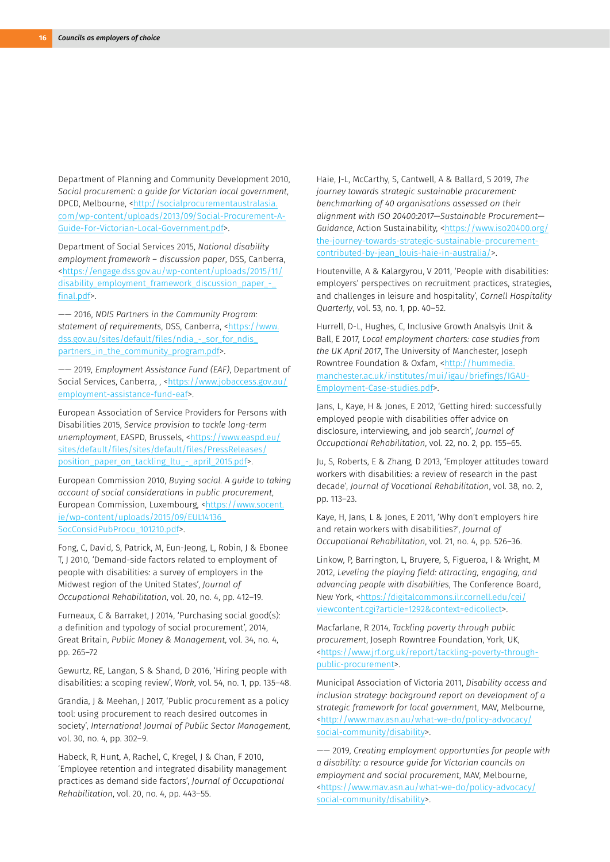Department of Planning and Community Development 2010, *Social procurement: a guide for Victorian local government*, DPCD, Melbourne, [<http://socialprocurementaustralasia.](http://socialprocurementaustralasia.com/wp-content/uploads/2013/09/Social-Procurement-A-Guide-For-Victorian-Local-Government.pdf) [com/wp-content/uploads/2013/09/Social-Procurement-A-](http://socialprocurementaustralasia.com/wp-content/uploads/2013/09/Social-Procurement-A-Guide-For-Victorian-Local-Government.pdf)[Guide-For-Victorian-Local-Government.pdf](http://socialprocurementaustralasia.com/wp-content/uploads/2013/09/Social-Procurement-A-Guide-For-Victorian-Local-Government.pdf)>.

Department of Social Services 2015, *National disability employment framework – discussion paper*, DSS, Canberra, <[https://engage.dss.gov.au/wp-content/uploads/2015/11/](https://engage.dss.gov.au/wp-content/uploads/2015/11/disability_employment_framework_discussion_paper_-_final.pdf) [disability\\_employment\\_framework\\_discussion\\_paper\\_-\\_](https://engage.dss.gov.au/wp-content/uploads/2015/11/disability_employment_framework_discussion_paper_-_final.pdf) [final.pdf](https://engage.dss.gov.au/wp-content/uploads/2015/11/disability_employment_framework_discussion_paper_-_final.pdf)>.

—— 2016, *NDIS Partners in the Community Program:*  statement of requirements, DSS, Canberra, <[https://www.](https://www.dss.gov.au/sites/default/files/ndia_-_sor_for_ndis_partners_in_the_community_program.pdf) [dss.gov.au/sites/default/files/ndia\\_-\\_sor\\_for\\_ndis\\_](https://www.dss.gov.au/sites/default/files/ndia_-_sor_for_ndis_partners_in_the_community_program.pdf) [partners\\_in\\_the\\_community\\_program.pdf](https://www.dss.gov.au/sites/default/files/ndia_-_sor_for_ndis_partners_in_the_community_program.pdf)>.

—— 2019, *Employment Assistance Fund (EAF)*, Department of Social Services, Canberra, , <[https://www.jobaccess.gov.au/](https://www.jobaccess.gov.au/employment-assistance-fund-eaf) [employment-assistance-fund-eaf](https://www.jobaccess.gov.au/employment-assistance-fund-eaf)>.

European Association of Service Providers for Persons with Disabilities 2015, *Service provision to tackle long-term unemployment*, EASPD, Brussels, <[https://www.easpd.eu/](https://www.easpd.eu/sites/default/files/sites/default/files/PressReleases/position_paper_on_tackling_ltu_-_april_2015.pdf) [sites/default/files/sites/default/files/PressReleases/](https://www.easpd.eu/sites/default/files/sites/default/files/PressReleases/position_paper_on_tackling_ltu_-_april_2015.pdf) [position\\_paper\\_on\\_tackling\\_ltu\\_-\\_april\\_2015.pdf](https://www.easpd.eu/sites/default/files/sites/default/files/PressReleases/position_paper_on_tackling_ltu_-_april_2015.pdf)>.

European Commission 2010, *Buying social. A guide to taking account of social considerations in public procurement*, European Commission, Luxembourg, <[https://www.socent.](https://www.socent.ie/wp-content/uploads/2015/09/EUL14136_SocConsidPubProcu_101210.pdf) [ie/wp-content/uploads/2015/09/EUL14136\\_](https://www.socent.ie/wp-content/uploads/2015/09/EUL14136_SocConsidPubProcu_101210.pdf) [SocConsidPubProcu\\_101210.pdf>](https://www.socent.ie/wp-content/uploads/2015/09/EUL14136_SocConsidPubProcu_101210.pdf).

Fong, C, David, S, Patrick, M, Eun-Jeong, L, Robin, J & Ebonee T, J 2010, 'Demand-side factors related to employment of people with disabilities: a survey of employers in the Midwest region of the United States', *Journal of Occupational Rehabilitation*, vol. 20, no. 4, pp. 412–19.

Furneaux, C & Barraket, J 2014, 'Purchasing social good(s): a definition and typology of social procurement', 2014, Great Britain, *Public Money & Management*, vol. 34, no. 4, pp. 265–72

Gewurtz, RE, Langan, S & Shand, D 2016, 'Hiring people with disabilities: a scoping review', *Work*, vol. 54, no. 1, pp. 135–48.

Grandia, J & Meehan, J 2017, 'Public procurement as a policy tool: using procurement to reach desired outcomes in society', *International Journal of Public Sector Management*, vol. 30, no. 4, pp. 302–9.

Habeck, R, Hunt, A, Rachel, C, Kregel, J & Chan, F 2010, 'Employee retention and integrated disability management practices as demand side factors', *Journal of Occupational Rehabilitation*, vol. 20, no. 4, pp. 443–55.

Haie, J-L, McCarthy, S, Cantwell, A & Ballard, S 2019, *The journey towards strategic sustainable procurement: benchmarking of 40 organisations assessed on their alignment with ISO 20400:2017—Sustainable Procurement—* Guidance, Action Sustainability, [<https://www.iso20400.org/](https://www.iso20400.org/the-journey-towards-strategic-sustainable-procurement-contributed-by-jean_louis-haie-in-australia/) [the-journey-towards-strategic-sustainable-procurement](https://www.iso20400.org/the-journey-towards-strategic-sustainable-procurement-contributed-by-jean_louis-haie-in-australia/)[contributed-by-jean\\_louis-haie-in-australia/>](https://www.iso20400.org/the-journey-towards-strategic-sustainable-procurement-contributed-by-jean_louis-haie-in-australia/).

Houtenville, A & Kalargyrou, V 2011, 'People with disabilities: employers' perspectives on recruitment practices, strategies, and challenges in leisure and hospitality', *Cornell Hospitality Quarterly*, vol. 53, no. 1, pp. 40–52.

Hurrell, D-L, Hughes, C, Inclusive Growth Analsyis Unit & Ball, E 2017, *Local employment charters: case studies from the UK April 2017*, The University of Manchester, Joseph Rowntree Foundation & Oxfam, <[http://hummedia.](http://hummedia.manchester.ac.uk/institutes/mui/igau/briefings/IGAU-Employment-Case-studies.pdf) [manchester.ac.uk/institutes/mui/igau/briefings/IGAU-](http://hummedia.manchester.ac.uk/institutes/mui/igau/briefings/IGAU-Employment-Case-studies.pdf)[Employment-Case-studies.pdf>](http://hummedia.manchester.ac.uk/institutes/mui/igau/briefings/IGAU-Employment-Case-studies.pdf).

Jans, L, Kaye, H & Jones, E 2012, 'Getting hired: successfully employed people with disabilities offer advice on disclosure, interviewing, and job search', *Journal of Occupational Rehabilitation*, vol. 22, no. 2, pp. 155–65.

Ju, S, Roberts, E & Zhang, D 2013, 'Employer attitudes toward workers with disabilities: a review of research in the past decade', *Journal of Vocational Rehabilitation*, vol. 38, no. 2, pp. 113–23.

Kaye, H, Jans, L & Jones, E 2011, 'Why don't employers hire and retain workers with disabilities?', *Journal of Occupational Rehabilitation*, vol. 21, no. 4, pp. 526–36.

Linkow, P, Barrington, L, Bruyere, S, Figueroa, I & Wright, M 2012, *Leveling the playing field: attracting, engaging, and advancing people with disabilities*, The Conference Board, New York, <[https://digitalcommons.ilr.cornell.edu/cgi/](https://digitalcommons.ilr.cornell.edu/cgi/viewcontent.cgi?article=1292&context=edicollect) [viewcontent.cgi?article=1292&context=edicollect>](https://digitalcommons.ilr.cornell.edu/cgi/viewcontent.cgi?article=1292&context=edicollect).

Macfarlane, R 2014, *Tackling poverty through public procurement*, Joseph Rowntree Foundation, York, UK, [<https://www.jrf.org.uk/report/tackling-poverty-through](https://www.jrf.org.uk/report/tackling-poverty-through-public-procurement)[public-procurement>](https://www.jrf.org.uk/report/tackling-poverty-through-public-procurement).

Municipal Association of Victoria 2011, *Disability access and inclusion strategy: background report on development of a strategic framework for local government*, MAV, Melbourne, [<http://www.mav.asn.au/what-we-do/policy-advocacy/](http://www.mav.asn.au/what-we-do/policy-advocacy/social-community/disability) [social-community/disability>](http://www.mav.asn.au/what-we-do/policy-advocacy/social-community/disability).

—— 2019, *Creating employment opportunties for people with a disability: a resource guide for Victorian councils on employment and social procurement*, MAV, Melbourne, [<https://www.mav.asn.au/what-we-do/policy-advocacy/](https://www.mav.asn.au/what-we-do/policy-advocacy/social-community/disability) [social-community/disability>](https://www.mav.asn.au/what-we-do/policy-advocacy/social-community/disability).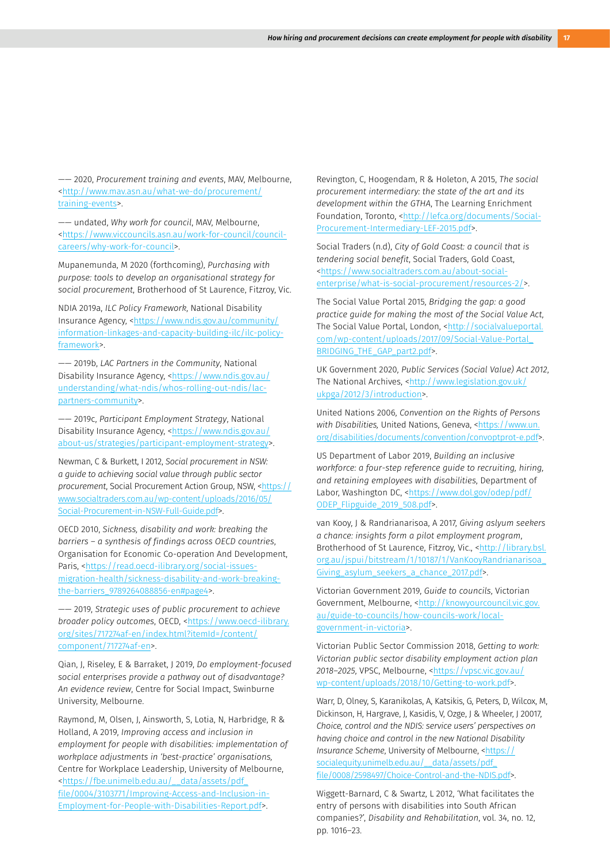—— 2020, *Procurement training and events*, MAV, Melbourne, <[http://www.mav.asn.au/what-we-do/procurement/](http://www.mav.asn.au/what-we-do/procurement/training-events) [training-events](http://www.mav.asn.au/what-we-do/procurement/training-events)>.

—— undated, *Why work for council*, MAV, Melbourne, <[https://www.viccouncils.asn.au/work-for-council/council](https://www.viccouncils.asn.au/work-for-council/council-careers/why-work-for-council)[careers/why-work-for-council>](https://www.viccouncils.asn.au/work-for-council/council-careers/why-work-for-council).

Mupanemunda, M 2020 (forthcoming), *Purchasing with purpose: tools to develop an organisational strategy for social procurement*, Brotherhood of St Laurence, Fitzroy, Vic.

NDIA 2019a, *ILC Policy Framework*, National Disability Insurance Agency, <[https://www.ndis.gov.au/community/](https://www.ndis.gov.au/community/information-linkages-and-capacity-building-ilc/ilc-policy-framework) [information-linkages-and-capacity-building-ilc/ilc-policy](https://www.ndis.gov.au/community/information-linkages-and-capacity-building-ilc/ilc-policy-framework)[framework>](https://www.ndis.gov.au/community/information-linkages-and-capacity-building-ilc/ilc-policy-framework).

—— 2019b, *LAC Partners in the Community*, National Disability Insurance Agency, <[https://www.ndis.gov.au/](https://www.ndis.gov.au/understanding/what-ndis/whos-rolling-out-ndis/lac-partners-community) [understanding/what-ndis/whos-rolling-out-ndis/lac](https://www.ndis.gov.au/understanding/what-ndis/whos-rolling-out-ndis/lac-partners-community)[partners-community>](https://www.ndis.gov.au/understanding/what-ndis/whos-rolling-out-ndis/lac-partners-community).

—— 2019c, *Participant Employment Strategy*, National Disability Insurance Agency, <[https://www.ndis.gov.au/](https://www.ndis.gov.au/about-us/strategies/participant-employment-strategy) [about-us/strategies/participant-employment-strategy](https://www.ndis.gov.au/about-us/strategies/participant-employment-strategy)>.

Newman, C & Burkett, I 2012, *Social procurement in NSW: a guide to achieving social value through public sector procurement*, Social Procurement Action Group, NSW, [<https://](https://www.socialtraders.com.au/wp-content/uploads/2016/05/Social-Procurement-in-NSW-Full-Guide.pdf) [www.socialtraders.com.au/wp-content/uploads/2016/05/](https://www.socialtraders.com.au/wp-content/uploads/2016/05/Social-Procurement-in-NSW-Full-Guide.pdf) [Social-Procurement-in-NSW-Full-Guide.pdf>](https://www.socialtraders.com.au/wp-content/uploads/2016/05/Social-Procurement-in-NSW-Full-Guide.pdf).

OECD 2010, *Sickness, disability and work: breaking the barriers – a synthesis of findings across OECD countries*, Organisation for Economic Co-operation And Development, Paris, <[https://read.oecd-ilibrary.org/social-issues](https://read.oecd-ilibrary.org/social-issues-migration-health/sickness-disability-and-work-breaking-the-barriers_9789264088856-en#page4)[migration-health/sickness-disability-and-work-breaking](https://read.oecd-ilibrary.org/social-issues-migration-health/sickness-disability-and-work-breaking-the-barriers_9789264088856-en#page4)[the-barriers\\_9789264088856-en#page4](https://read.oecd-ilibrary.org/social-issues-migration-health/sickness-disability-and-work-breaking-the-barriers_9789264088856-en#page4)>.

—— 2019, *Strategic uses of public procurement to achieve broader policy outcomes*, OECD, [<https://www.oecd-ilibrary.](https://www.oecd-ilibrary.org/sites/717274af-en/index.html?itemId=/content/component/717274af-en) [org/sites/717274af-en/index.html?itemId=/content/](https://www.oecd-ilibrary.org/sites/717274af-en/index.html?itemId=/content/component/717274af-en) [component/717274af-en](https://www.oecd-ilibrary.org/sites/717274af-en/index.html?itemId=/content/component/717274af-en)>.

Qian, J, Riseley, E & Barraket, J 2019, *Do employment-focused social enterprises provide a pathway out of disadvantage? An evidence review*, Centre for Social Impact, Swinburne University, Melbourne.

Raymond, M, Olsen, J, Ainsworth, S, Lotia, N, Harbridge, R & Holland, A 2019, *Improving access and inclusion in employment for people with disabilities: implementation of workplace adjustments in 'best-practice' organisations,* Centre for Workplace Leadership, University of Melbourne, <[https://fbe.unimelb.edu.au/\\_\\_data/assets/pdf\\_](https://fbe.unimelb.edu.au/__data/assets/pdf_file/0004/3103771/Improving-Access-and-Inclusion-in-Employment-for-People-with-Disabilities-Report.pdf) [file/0004/3103771/Improving-Access-and-Inclusion-in-](https://fbe.unimelb.edu.au/__data/assets/pdf_file/0004/3103771/Improving-Access-and-Inclusion-in-Employment-for-People-with-Disabilities-Report.pdf)[Employment-for-People-with-Disabilities-Report.pdf](https://fbe.unimelb.edu.au/__data/assets/pdf_file/0004/3103771/Improving-Access-and-Inclusion-in-Employment-for-People-with-Disabilities-Report.pdf)>.

Revington, C, Hoogendam, R & Holeton, A 2015, *The social procurement intermediary: the state of the art and its development within the GTHA*, The Learning Enrichment Foundation, Toronto, <[http://lefca.org/documents/Social-](http://lefca.org/documents/Social-Procurement-Intermediary-LEF-2015.pdf)[Procurement-Intermediary-LEF-2015.pdf>](http://lefca.org/documents/Social-Procurement-Intermediary-LEF-2015.pdf).

Social Traders (n.d), *City of Gold Coast: a council that is tendering social benefit*, Social Traders, Gold Coast, [<https://www.socialtraders.com.au/about-social](https://www.socialtraders.com.au/about-social-enterprise/what-is-social-procurement/resources-2/)[enterprise/what-is-social-procurement/resources-2/](https://www.socialtraders.com.au/about-social-enterprise/what-is-social-procurement/resources-2/)>.

The Social Value Portal 2015, *Bridging the gap: a good practice guide for making the most of the Social Value Act*, The Social Value Portal, London, [<http://socialvalueportal.](http://socialvalueportal.com/wp-content/uploads/2017/09/Social-Value-Portal_BRIDGING_THE_GAP_part2.pdf) [com/wp-content/uploads/2017/09/Social-Value-Portal\\_](http://socialvalueportal.com/wp-content/uploads/2017/09/Social-Value-Portal_BRIDGING_THE_GAP_part2.pdf) [BRIDGING\\_THE\\_GAP\\_part2.pdf>](http://socialvalueportal.com/wp-content/uploads/2017/09/Social-Value-Portal_BRIDGING_THE_GAP_part2.pdf).

UK Government 2020, *Public Services (Social Value) Act 2012*, The National Archives, <[http://www.legislation.gov.uk/](http://www.legislation.gov.uk/ukpga/2012/3/introduction) [ukpga/2012/3/introduction>](http://www.legislation.gov.uk/ukpga/2012/3/introduction).

United Nations 2006, *Convention on the Rights of Persons with Disabilities,* United Nations, Geneva, <[https://www.un.](https://www.un.org/disabilities/documents/convention/convoptprot-e.pdf) [org/disabilities/documents/convention/convoptprot-e.pdf](https://www.un.org/disabilities/documents/convention/convoptprot-e.pdf)>.

US Department of Labor 2019, *Building an inclusive workforce: a four-step reference guide to recruiting, hiring, and retaining employees with disabilities*, Department of Labor, Washington DC, [<https://www.dol.gov/odep/pdf/](https://www.dol.gov/odep/pdf/ODEP_Flipguide_2019_508.pdf) [ODEP\\_Flipguide\\_2019\\_508.pdf](https://www.dol.gov/odep/pdf/ODEP_Flipguide_2019_508.pdf)>.

van Kooy, J & Randrianarisoa, A 2017, *Giving aslyum seekers a chance: insights form a pilot employment program*, Brotherhood of St Laurence, Fitzroy, Vic., <[http://library.bsl.](http://library.bsl.org.au/jspui/bitstream/1/10187/1/VanKooyRandrianarisoa_Giving_asylum_seekers_a_chance_2017.pdf) [org.au/jspui/bitstream/1/10187/1/VanKooyRandrianarisoa\\_](http://library.bsl.org.au/jspui/bitstream/1/10187/1/VanKooyRandrianarisoa_Giving_asylum_seekers_a_chance_2017.pdf) [Giving\\_asylum\\_seekers\\_a\\_chance\\_2017.pdf>](http://library.bsl.org.au/jspui/bitstream/1/10187/1/VanKooyRandrianarisoa_Giving_asylum_seekers_a_chance_2017.pdf).

Victorian Government 2019, *Guide to councils*, Victorian Government, Melbourne, <[http://knowyourcouncil.vic.gov.](http://knowyourcouncil.vic.gov.au/guide-to-councils/how-councils-work/local-government-in-victoria) [au/guide-to-councils/how-councils-work/local](http://knowyourcouncil.vic.gov.au/guide-to-councils/how-councils-work/local-government-in-victoria)[government-in-victoria](http://knowyourcouncil.vic.gov.au/guide-to-councils/how-councils-work/local-government-in-victoria)>.

Victorian Public Sector Commission 2018, *Getting to work: Victorian public sector disability employment action plan*  2018-2025, VPSC, Melbourne, <[https://vpsc.vic.gov.au/](https://vpsc.vic.gov.au/wp-content/uploads/2018/10/Getting-to-work.pdf) [wp-content/uploads/2018/10/Getting-to-work.pdf>](https://vpsc.vic.gov.au/wp-content/uploads/2018/10/Getting-to-work.pdf).

Warr, D, Olney, S, Karanikolas, A, Katsikis, G, Peters, D, Wilcox, M, Dickinson, H, Hargrave, J, Kasidis, V, Ozge, J & Wheeler, J 20017, *Choice, control and the NDIS: service users' perspectives on having choice and control in the new National Disability Insurance Scheme*, University of Melbourne, <[https://](https://socialequity.unimelb.edu.au/__data/assets/pdf_file/0008/2598497/Choice-Control-and-the-NDIS.pdf) [socialequity.unimelb.edu.au/\\_\\_data/assets/pdf\\_](https://socialequity.unimelb.edu.au/__data/assets/pdf_file/0008/2598497/Choice-Control-and-the-NDIS.pdf) [file/0008/2598497/Choice-Control-and-the-NDIS.pdf](https://socialequity.unimelb.edu.au/__data/assets/pdf_file/0008/2598497/Choice-Control-and-the-NDIS.pdf)>.

Wiggett-Barnard, C & Swartz, L 2012, 'What facilitates the entry of persons with disabilities into South African companies?', *Disability and Rehabilitation*, vol. 34, no. 12, pp. 1016–23.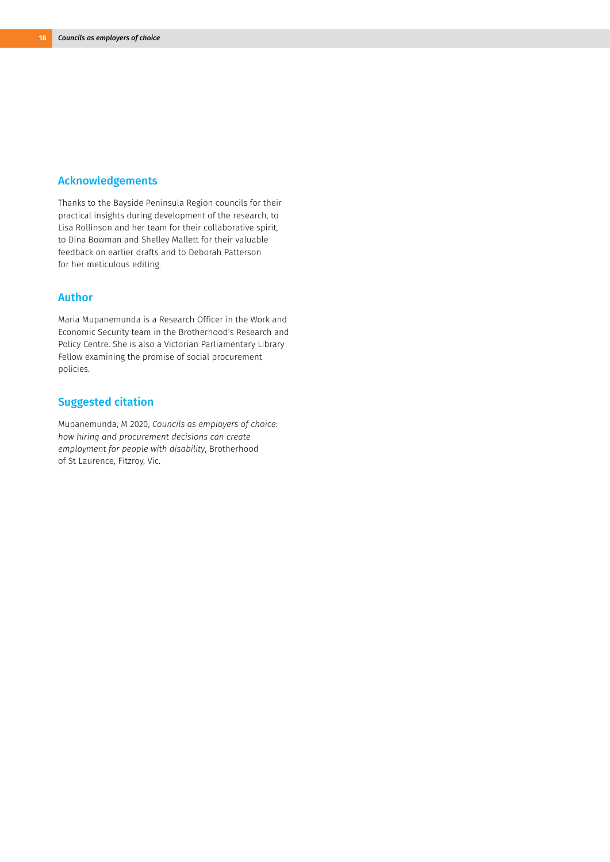# Acknowledgements

Thanks to the Bayside Peninsula Region councils for their practical insights during development of the research, to Lisa Rollinson and her team for their collaborative spirit, to Dina Bowman and Shelley Mallett for their valuable feedback on earlier drafts and to Deborah Patterson for her meticulous editing.

# Author

Maria Mupanemunda is a Research Officer in the Work and Economic Security team in the Brotherhood's Research and Policy Centre. She is also a Victorian Parliamentary Library Fellow examining the promise of social procurement policies.

# Suggested citation

Mupanemunda, M 2020, *Councils as employers of choice: how hiring and procurement decisions can create employment for people with disability*, Brotherhood of St Laurence, Fitzroy, Vic.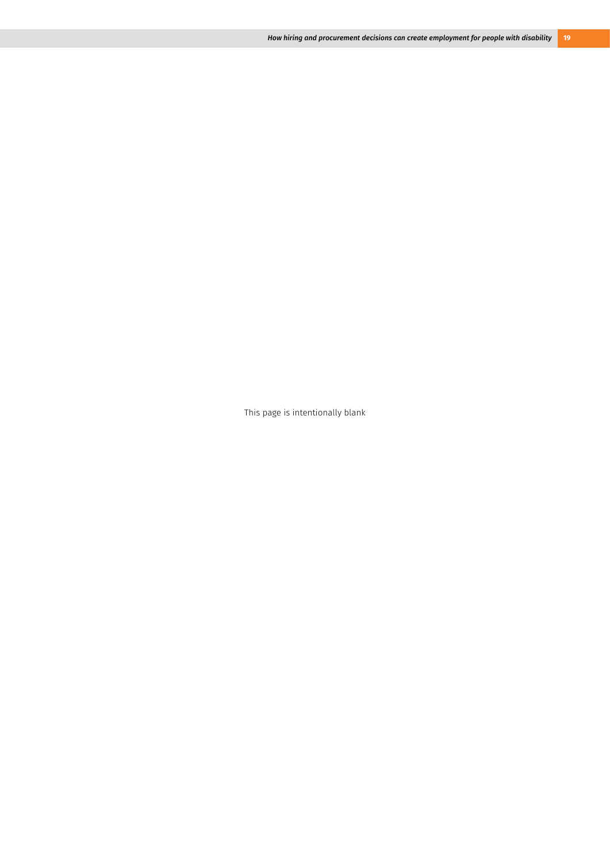This page is intentionally blank